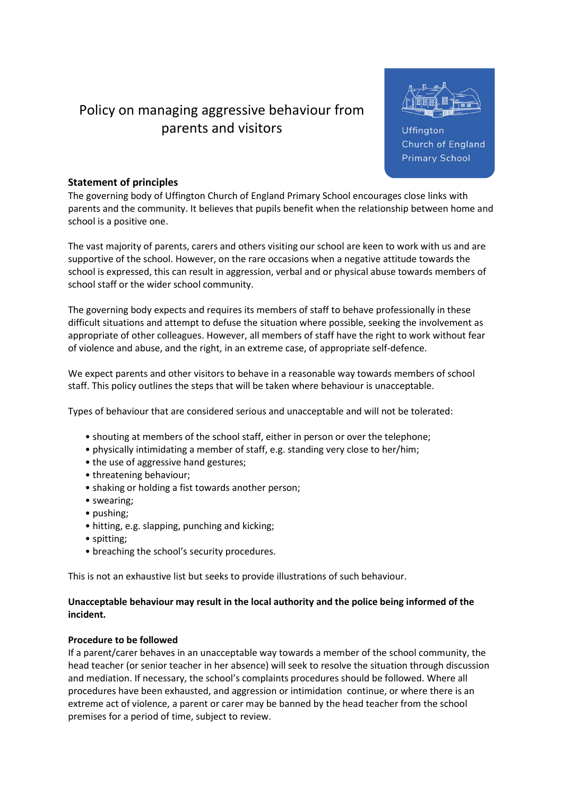# Policy on managing aggressive behaviour from parents and visitors



Uffington Church of England **Primary School** 

# Statement of principles

The governing body of Uffington Church of England Primary School encourages close links with parents and the community. It believes that pupils benefit when the relationship between home and school is a positive one.

The vast majority of parents, carers and others visiting our school are keen to work with us and are supportive of the school. However, on the rare occasions when a negative attitude towards the school is expressed, this can result in aggression, verbal and or physical abuse towards members of school staff or the wider school community.

The governing body expects and requires its members of staff to behave professionally in these difficult situations and attempt to defuse the situation where possible, seeking the involvement as appropriate of other colleagues. However, all members of staff have the right to work without fear of violence and abuse, and the right, in an extreme case, of appropriate self-defence.

We expect parents and other visitors to behave in a reasonable way towards members of school staff. This policy outlines the steps that will be taken where behaviour is unacceptable.

Types of behaviour that are considered serious and unacceptable and will not be tolerated:

- shouting at members of the school staff, either in person or over the telephone;
- physically intimidating a member of staff, e.g. standing very close to her/him;
- the use of aggressive hand gestures;
- threatening behaviour;
- shaking or holding a fist towards another person;
- swearing;
- pushing;
- hitting, e.g. slapping, punching and kicking;
- spitting;
- breaching the school's security procedures.

This is not an exhaustive list but seeks to provide illustrations of such behaviour.

### Unacceptable behaviour may result in the local authority and the police being informed of the incident.

### Procedure to be followed

If a parent/carer behaves in an unacceptable way towards a member of the school community, the head teacher (or senior teacher in her absence) will seek to resolve the situation through discussion and mediation. If necessary, the school's complaints procedures should be followed. Where all procedures have been exhausted, and aggression or intimidation continue, or where there is an extreme act of violence, a parent or carer may be banned by the head teacher from the school premises for a period of time, subject to review.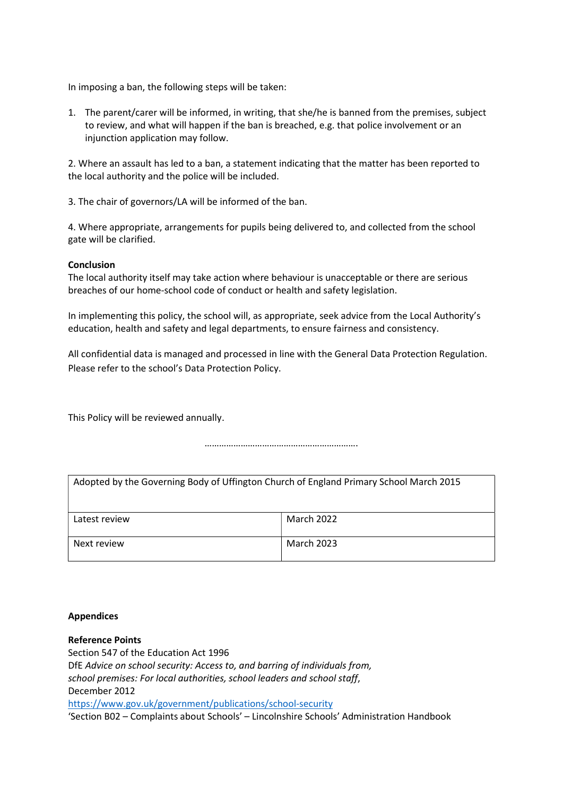In imposing a ban, the following steps will be taken:

1. The parent/carer will be informed, in writing, that she/he is banned from the premises, subject to review, and what will happen if the ban is breached, e.g. that police involvement or an injunction application may follow.

2. Where an assault has led to a ban, a statement indicating that the matter has been reported to the local authority and the police will be included.

3. The chair of governors/LA will be informed of the ban.

4. Where appropriate, arrangements for pupils being delivered to, and collected from the school gate will be clarified.

#### Conclusion

The local authority itself may take action where behaviour is unacceptable or there are serious breaches of our home-school code of conduct or health and safety legislation.

In implementing this policy, the school will, as appropriate, seek advice from the Local Authority's education, health and safety and legal departments, to ensure fairness and consistency.

All confidential data is managed and processed in line with the General Data Protection Regulation. Please refer to the school's Data Protection Policy.

This Policy will be reviewed annually.

……………………………………………………….

| Adopted by the Governing Body of Uffington Church of England Primary School March 2015 |                   |
|----------------------------------------------------------------------------------------|-------------------|
| Latest review                                                                          | March 2022        |
| Next review                                                                            | <b>March 2023</b> |

#### Appendices

Reference Points

Section 547 of the Education Act 1996 DfE Advice on school security: Access to, and barring of individuals from, school premises: For local authorities, school leaders and school staff, December 2012 https://www.gov.uk/government/publications/school-security 'Section B02 – Complaints about Schools' – Lincolnshire Schools' Administration Handbook